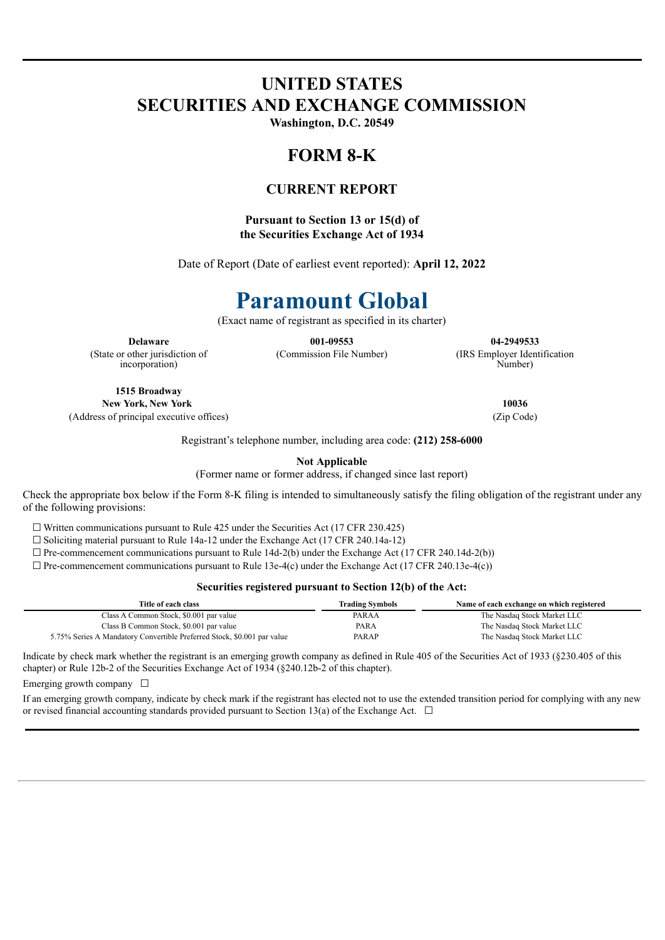## **UNITED STATES SECURITIES AND EXCHANGE COMMISSION**

**Washington, D.C. 20549**

## **FORM 8-K**

### **CURRENT REPORT**

### **Pursuant to Section 13 or 15(d) of the Securities Exchange Act of 1934**

Date of Report (Date of earliest event reported): **April 12, 2022**

# **Paramount Global**

(Exact name of registrant as specified in its charter)

(State or other jurisdiction of incorporation)

**Delaware 001-09553 04-2949533** (Commission File Number) (IRS Employer Identification

Number)

**1515 Broadway New York, New York 10036** (Address of principal executive offices) (Zip Code)

Registrant's telephone number, including area code: **(212) 258-6000**

**Not Applicable**

(Former name or former address, if changed since last report)

Check the appropriate box below if the Form 8-K filing is intended to simultaneously satisfy the filing obligation of the registrant under any of the following provisions:

 $\Box$  Written communications pursuant to Rule 425 under the Securities Act (17 CFR 230.425)

☐ Soliciting material pursuant to Rule 14a-12 under the Exchange Act (17 CFR 240.14a-12)

 $\Box$  Pre-commencement communications pursuant to Rule 14d-2(b) under the Exchange Act (17 CFR 240.14d-2(b))

 $\Box$  Pre-commencement communications pursuant to Rule 13e-4(c) under the Exchange Act (17 CFR 240.13e-4(c))

#### **Securities registered pursuant to Section 12(b) of the Act:**

| Title of each class                                                     | <b>Trading Symbols</b> | Name of each exchange on which registered |
|-------------------------------------------------------------------------|------------------------|-------------------------------------------|
| Class A Common Stock, \$0.001 par value                                 | PARAA                  | The Nasdaq Stock Market LLC               |
| Class B Common Stock, \$0.001 par value                                 | <b>PARA</b>            | The Nasdaq Stock Market LLC               |
| 5.75% Series A Mandatory Convertible Preferred Stock, \$0.001 par value | PARAP                  | The Nasdaq Stock Market LLC               |

Indicate by check mark whether the registrant is an emerging growth company as defined in Rule 405 of the Securities Act of 1933 (§230.405 of this chapter) or Rule 12b-2 of the Securities Exchange Act of 1934 (§240.12b-2 of this chapter).

Emerging growth company  $\Box$ 

If an emerging growth company, indicate by check mark if the registrant has elected not to use the extended transition period for complying with any new or revised financial accounting standards provided pursuant to Section 13(a) of the Exchange Act.  $\Box$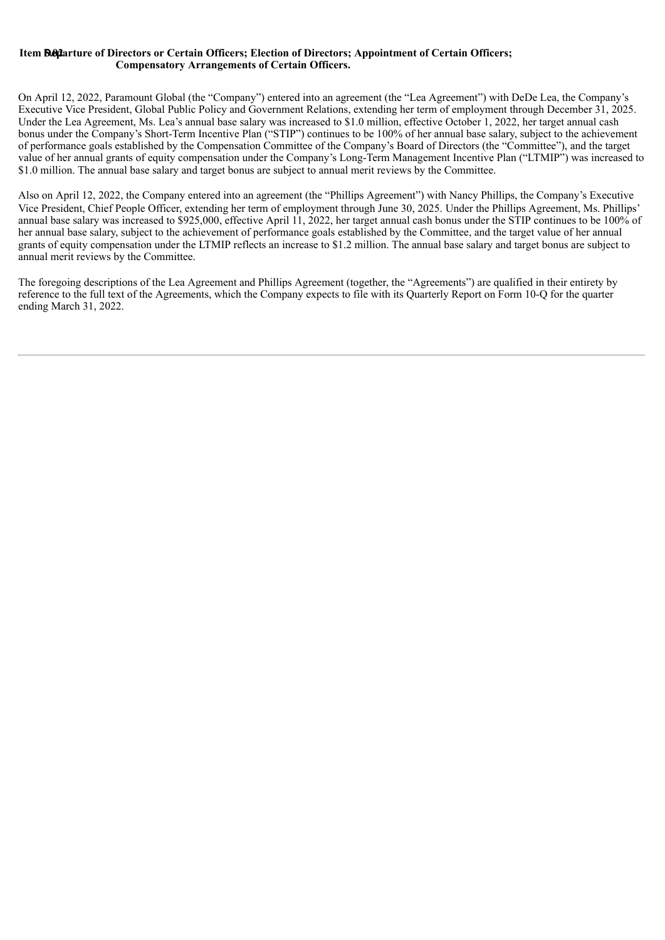### **Item D5.e0p2arture of Directors or Certain Officers; Election of Directors; Appointment of Certain Officers; Compensatory Arrangements of Certain Officers.**

On April 12, 2022, Paramount Global (the "Company") entered into an agreement (the "Lea Agreement") with DeDe Lea, the Company's Executive Vice President, Global Public Policy and Government Relations, extending her term of employment through December 31, 2025. Under the Lea Agreement, Ms. Lea's annual base salary was increased to \$1.0 million, effective October 1, 2022, her target annual cash bonus under the Company's Short-Term Incentive Plan ("STIP") continues to be 100% of her annual base salary, subject to the achievement of performance goals established by the Compensation Committee of the Company's Board of Directors (the "Committee"), and the target value of her annual grants of equity compensation under the Company's Long-Term Management Incentive Plan ("LTMIP") was increased to \$1.0 million. The annual base salary and target bonus are subject to annual merit reviews by the Committee.

Also on April 12, 2022, the Company entered into an agreement (the "Phillips Agreement") with Nancy Phillips, the Company's Executive Vice President, Chief People Officer, extending her term of employment through June 30, 2025. Under the Phillips Agreement, Ms. Phillips' annual base salary was increased to \$925,000, effective April 11, 2022, her target annual cash bonus under the STIP continues to be 100% of her annual base salary, subject to the achievement of performance goals established by the Committee, and the target value of her annual grants of equity compensation under the LTMIP reflects an increase to \$1.2 million. The annual base salary and target bonus are subject to annual merit reviews by the Committee.

The foregoing descriptions of the Lea Agreement and Phillips Agreement (together, the "Agreements") are qualified in their entirety by reference to the full text of the Agreements, which the Company expects to file with its Quarterly Report on Form 10-Q for the quarter ending March 31, 2022.